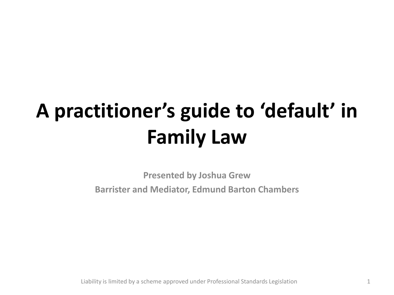### **A practitioner's guide to 'default' in Family Law**

**Presented by Joshua Grew Barrister and Mediator, Edmund Barton Chambers**

Liability is limited by a scheme approved under Professional Standards Legislation 1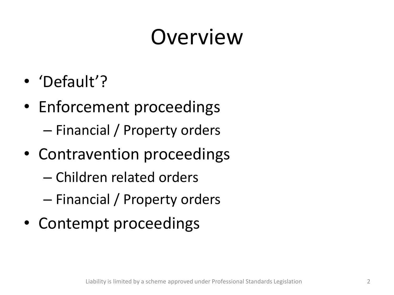## Overview

- 'Default'?
- Enforcement proceedings – Financial / Property orders
- Contravention proceedings
	- Children related orders
	- Financial / Property orders
- Contempt proceedings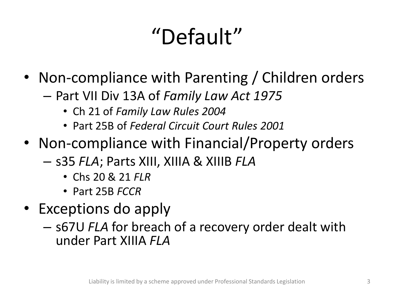# "Default"

- Non-compliance with Parenting / Children orders
	- Part VII Div 13A of *Family Law Act 1975*
		- Ch 21 of *Family Law Rules 2004*
		- Part 25B of *Federal Circuit Court Rules 2001*
- Non-compliance with Financial/Property orders
	- s35 *FLA*; Parts XIII, XIIIA & XIIIB *FLA*
		- Chs 20 & 21 *FLR*
		- Part 25B *FCCR*
- Exceptions do apply
	- s67U *FLA* for breach of a recovery order dealt with under Part XIIIA *FLA*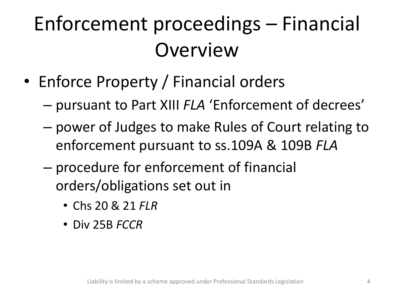### Enforcement proceedings – Financial **Overview**

- Enforce Property / Financial orders
	- pursuant to Part XIII *FLA* 'Enforcement of decrees'
	- power of Judges to make Rules of Court relating to enforcement pursuant to ss.109A & 109B *FLA*
	- procedure for enforcement of financial orders/obligations set out in
		- Chs 20 & 21 *FLR*
		- Div 25B *FCCR*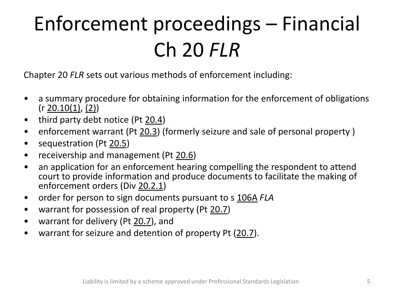## Enforcement proceedings – Financial Ch 20 *FLR*

Chapter 20 *FLR* sets out various methods of enforcement including:

- a summary procedure for obtaining information for the enforcement of obligations  $(r 20.10(1), (2))$
- third party debt notice (Pt 20.4)
- enforcement warrant (Pt 20.3) (formerly seizure and sale of personal property)
- sequestration (Pt 20.5)
- receivership and management (Pt 20.6)
- an application for an enforcement hearing compelling the respondent to attend court to provide information and produce documents to facilitate the making of enforcement orders (Div 20.2.1)
- order for person to sign documents pursuant to s 106A *FLA*
- warrant for possession of real property (Pt 20.7)
- warrant for delivery (Pt 20.7), and
- warrant for seizure and detention of property Pt (20.7).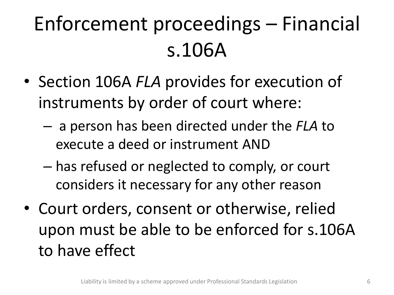## Enforcement proceedings – Financial s.106A

- Section 106A *FLA* provides for execution of instruments by order of court where:
	- a person has been directed under the *FLA* to execute a deed or instrument AND
	- has refused or neglected to comply, or court considers it necessary for any other reason
- Court orders, consent or otherwise, relied upon must be able to be enforced for s.106A to have effect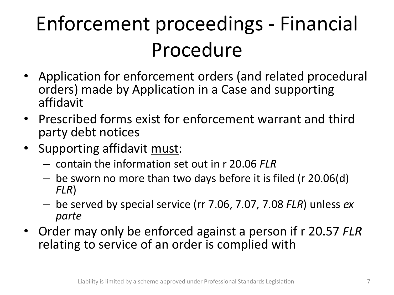## Enforcement proceedings - Financial Procedure

- Application for enforcement orders (and related procedural orders) made by Application in a Case and supporting affidavit
- Prescribed forms exist for enforcement warrant and third party debt notices
- Supporting affidavit must:
	- contain the information set out in r 20.06 *FLR*
	- be sworn no more than two days before it is filed (r 20.06(d) *FLR*)
	- be served by special service (rr 7.06, 7.07, 7.08 *FLR*) unless *ex parte*
- Order may only be enforced against a person if r 20.57 *FLR*  relating to service of an order is complied with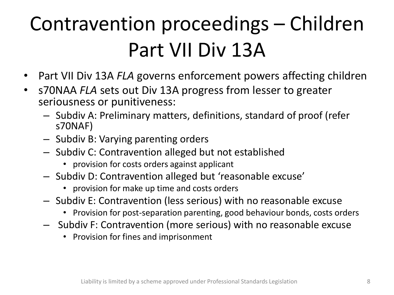### Contravention proceedings – Children Part VII Div 13A

- Part VII Div 13A *FLA* governs enforcement powers affecting children
- s70NAA *FLA* sets out Div 13A progress from lesser to greater seriousness or punitiveness:
	- Subdiv A: Preliminary matters, definitions, standard of proof (refer s70NAF)
	- Subdiv B: Varying parenting orders
	- Subdiv C: Contravention alleged but not established
		- provision for costs orders against applicant
	- Subdiv D: Contravention alleged but 'reasonable excuse'
		- provision for make up time and costs orders
	- Subdiv E: Contravention (less serious) with no reasonable excuse
		- Provision for post-separation parenting, good behaviour bonds, costs orders
	- Subdiv F: Contravention (more serious) with no reasonable excuse
		- Provision for fines and imprisonment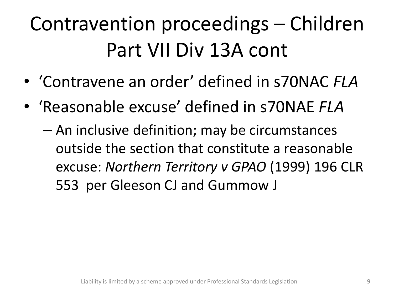### Contravention proceedings – Children Part VII Div 13A cont

- 'Contravene an order' defined in s70NAC *FLA*
- 'Reasonable excuse' defined in s70NAE *FLA*
	- An inclusive definition; may be circumstances outside the section that constitute a reasonable excuse: *Northern Territory v GPAO* (1999) 196 CLR 553 per Gleeson CJ and Gummow J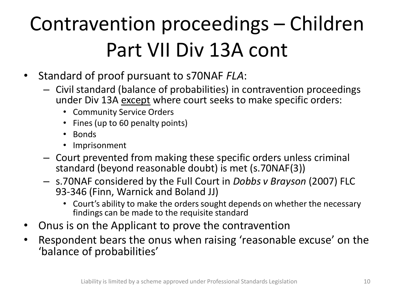## Contravention proceedings – Children Part VII Div 13A cont

- Standard of proof pursuant to s70NAF *FLA*:
	- Civil standard (balance of probabilities) in contravention proceedings under Div 13A except where court seeks to make specific orders:
		- Community Service Orders
		- Fines (up to 60 penalty points)
		- Bonds
		- Imprisonment
	- Court prevented from making these specific orders unless criminal standard (beyond reasonable doubt) is met (s.70NAF(3))
	- s.70NAF considered by the Full Court in *Dobbs v Brayson* (2007) FLC 93-346 (Finn, Warnick and Boland JJ)
		- Court's ability to make the orders sought depends on whether the necessary findings can be made to the requisite standard
- Onus is on the Applicant to prove the contravention
- Respondent bears the onus when raising 'reasonable excuse' on the 'balance of probabilities'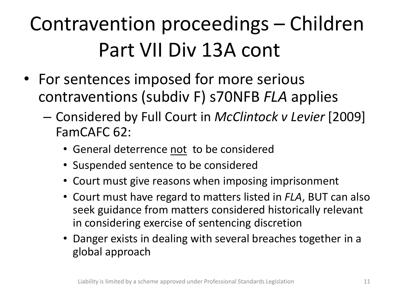### Contravention proceedings – Children Part VII Div 13A cont

- For sentences imposed for more serious contraventions (subdiv F) s70NFB *FLA* applies
	- Considered by Full Court in *McClintock v Levier* [2009] FamCAFC 62:
		- General deterrence not to be considered
		- Suspended sentence to be considered
		- Court must give reasons when imposing imprisonment
		- Court must have regard to matters listed in *FLA*, BUT can also seek guidance from matters considered historically relevant in considering exercise of sentencing discretion
		- Danger exists in dealing with several breaches together in a global approach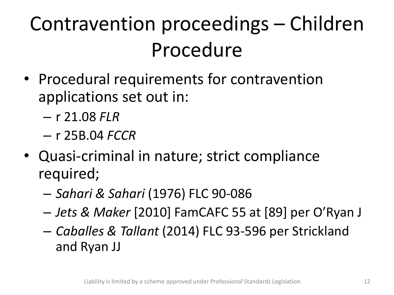### Contravention proceedings – Children Procedure

- Procedural requirements for contravention applications set out in:
	- r 21.08 *FLR*
	- r 25B.04 *FCCR*
- Quasi-criminal in nature; strict compliance required;
	- *Sahari & Sahari* (1976) FLC 90-086
	- *Jets & Maker* [2010] FamCAFC 55 at [89] per O'Ryan J
	- *Caballes & Tallant* (2014) FLC 93-596 per Strickland and Ryan JJ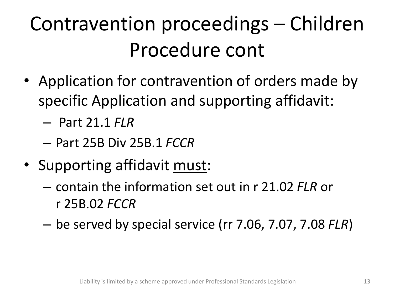### Contravention proceedings – Children Procedure cont

- Application for contravention of orders made by specific Application and supporting affidavit:
	- Part 21.1 *FLR*
	- Part 25B Div 25B.1 *FCCR*
- Supporting affidavit must:
	- contain the information set out in r 21.02 *FLR* or r 25B.02 *FCCR*
	- be served by special service (rr 7.06, 7.07, 7.08 *FLR*)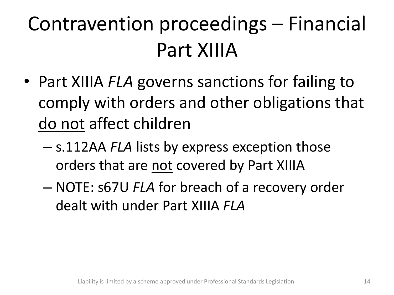### Contravention proceedings – Financial Part XIIIA

- Part XIIIA *FLA* governs sanctions for failing to comply with orders and other obligations that do not affect children
	- s.112AA *FLA* lists by express exception those orders that are not covered by Part XIIIA
	- NOTE: s67U *FLA* for breach of a recovery order dealt with under Part XIIIA *FLA*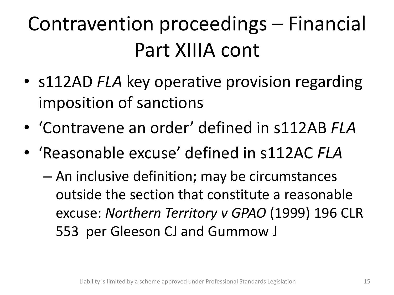### Contravention proceedings – Financial Part XIIIA cont

- s112AD *FLA* key operative provision regarding imposition of sanctions
- 'Contravene an order' defined in s112AB *FLA*
- 'Reasonable excuse' defined in s112AC *FLA*
	- An inclusive definition; may be circumstances outside the section that constitute a reasonable excuse: *Northern Territory v GPAO* (1999) 196 CLR 553 per Gleeson CJ and Gummow J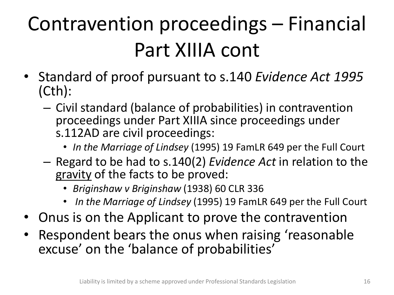### Contravention proceedings – Financial Part XIIIA cont

- Standard of proof pursuant to s.140 *Evidence Act 1995*  (Cth):
	- Civil standard (balance of probabilities) in contravention proceedings under Part XIIIA since proceedings under s.112AD are civil proceedings:
		- *In the Marriage of Lindsey* (1995) 19 FamLR 649 per the Full Court
	- Regard to be had to s.140(2) *Evidence Act* in relation to the gravity of the facts to be proved:
		- *Briginshaw v Briginshaw* (1938) 60 CLR 336
		- *In the Marriage of Lindsey* (1995) 19 FamLR 649 per the Full Court
- Onus is on the Applicant to prove the contravention
- Respondent bears the onus when raising 'reasonable excuse' on the 'balance of probabilities'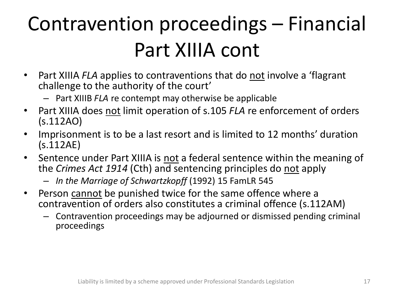### Contravention proceedings – Financial Part XIIIA cont

- Part XIIIA *FLA* applies to contraventions that do not involve a 'flagrant challenge to the authority of the court'
	- Part XIIIB *FLA* re contempt may otherwise be applicable
- Part XIIIA does not limit operation of s.105 *FLA* re enforcement of orders (s.112AO)
- Imprisonment is to be a last resort and is limited to 12 months' duration (s.112AE)
- Sentence under Part XIIIA is not a federal sentence within the meaning of the *Crimes Act 1914* (Cth) and sentencing principles do not apply
	- *In the Marriage of Schwartzkopff* (1992) 15 FamLR 545
- Person cannot be punished twice for the same offence where a contravention of orders also constitutes a criminal offence (s.112AM)
	- Contravention proceedings may be adjourned or dismissed pending criminal proceedings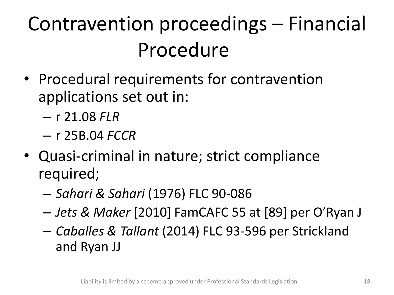### Contravention proceedings – Financial Procedure

- Procedural requirements for contravention applications set out in:
	- r 21.08 *FLR*
	- r 25B.04 *FCCR*
- Quasi-criminal in nature; strict compliance required;
	- *Sahari & Sahari* (1976) FLC 90-086
	- *Jets & Maker* [2010] FamCAFC 55 at [89] per O'Ryan J
	- *Caballes & Tallant* (2014) FLC 93-596 per Strickland and Ryan JJ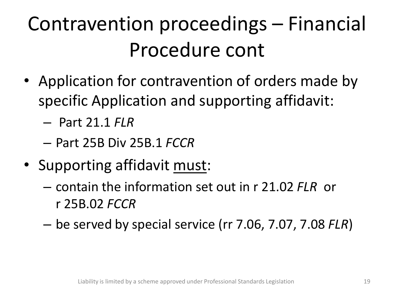### Contravention proceedings – Financial Procedure cont

- Application for contravention of orders made by specific Application and supporting affidavit:
	- Part 21.1 *FLR*
	- Part 25B Div 25B.1 *FCCR*
- Supporting affidavit must:
	- contain the information set out in r 21.02 *FLR* or r 25B.02 *FCCR*
	- be served by special service (rr 7.06, 7.07, 7.08 *FLR*)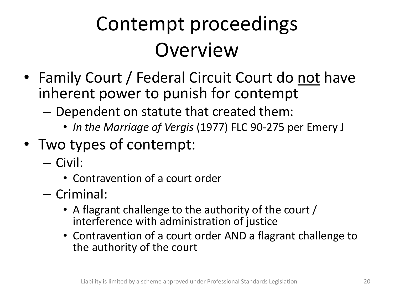### Contempt proceedings **Overview**

- Family Court / Federal Circuit Court do not have inherent power to punish for contempt
	- Dependent on statute that created them:
		- *In the Marriage of Vergis* (1977) FLC 90-275 per Emery J
- Two types of contempt:
	- Civil:
		- Contravention of a court order
	- Criminal:
		- A flagrant challenge to the authority of the court / interference with administration of justice
		- Contravention of a court order AND a flagrant challenge to the authority of the court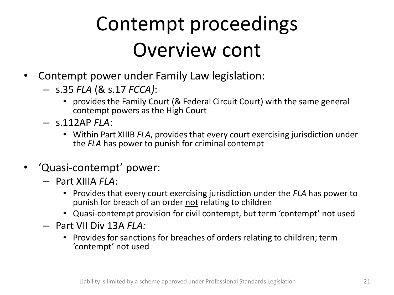#### Contempt proceedings Overview cont

- Contempt power under Family Law legislation:
	- s.35 *FLA* (& s.17 *FCCA)*:
		- provides the Family Court (& Federal Circuit Court) with the same general contempt powers as the High Court
	- s.112AP *FLA*:
		- Within Part XIIIB *FLA*, provides that every court exercising jurisdiction under the *FLA* has power to punish for criminal contempt
- 'Quasi-contempt' power:
	- Part XIIIA *FLA*:
		- Provides that every court exercising jurisdiction under the *FLA* has power to punish for breach of an order not relating to children
		- Quasi-contempt provision for civil contempt, but term 'contempt' not used
	- Part VII Div 13A *FLA:*
		- Provides for sanctions for breaches of orders relating to children; term 'contempt' not used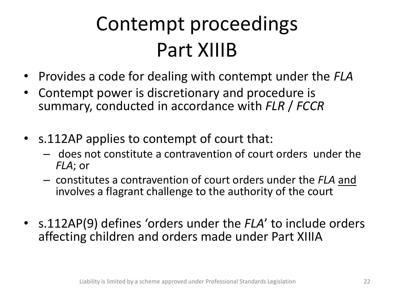### Contempt proceedings Part XIIIB

- Provides a code for dealing with contempt under the *FLA*
- Contempt power is discretionary and procedure is summary, conducted in accordance with *FLR* / *FCCR*
- s.112AP applies to contempt of court that:
	- does not constitute a contravention of court orders under the *FLA*; or
	- constitutes a contravention of court orders under the *FLA* and involves a flagrant challenge to the authority of the court
- s.112AP(9) defines 'orders under the *FLA*' to include orders affecting children and orders made under Part XIIIA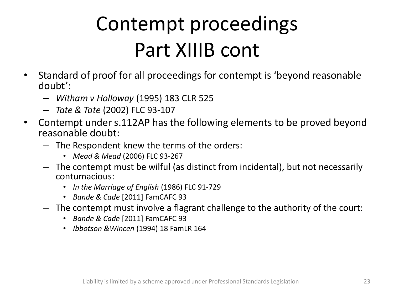#### Contempt proceedings Part XIIIB cont

- Standard of proof for all proceedings for contempt is 'beyond reasonable doubt':
	- *Witham v Holloway* (1995) 183 CLR 525
	- *Tate & Tate* (2002) FLC 93-107
- Contempt under s.112AP has the following elements to be proved beyond reasonable doubt:
	- The Respondent knew the terms of the orders:
		- *Mead & Mead* (2006) FLC 93-267
	- The contempt must be wilful (as distinct from incidental), but not necessarily contumacious:
		- *In the Marriage of English* (1986) FLC 91-729
		- *Bande & Cade* [2011] FamCAFC 93
	- The contempt must involve a flagrant challenge to the authority of the court:
		- *Bande & Cade* [2011] FamCAFC 93
		- *Ibbotson &Wincen* (1994) 18 FamLR 164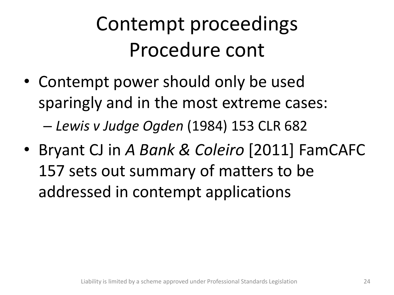#### Contempt proceedings Procedure cont

- Contempt power should only be used sparingly and in the most extreme cases: – *Lewis v Judge Ogden* (1984) 153 CLR 682
- Bryant CJ in *A Bank & Coleiro* [2011] FamCAFC 157 sets out summary of matters to be addressed in contempt applications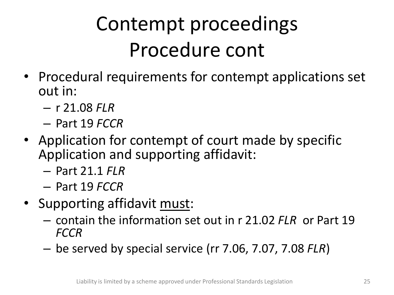### Contempt proceedings Procedure cont

- Procedural requirements for contempt applications set out in:
	- r 21.08 *FLR*
	- Part 19 *FCCR*
- Application for contempt of court made by specific Application and supporting affidavit:
	- Part 21.1 *FLR*
	- Part 19 *FCCR*
- Supporting affidavit must:
	- contain the information set out in r 21.02 *FLR* or Part 19 *FCCR*
	- be served by special service (rr 7.06, 7.07, 7.08 *FLR*)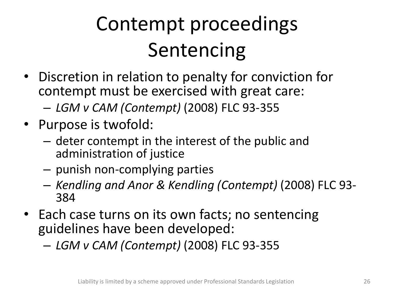## Contempt proceedings Sentencing

- Discretion in relation to penalty for conviction for contempt must be exercised with great care:
	- *LGM v CAM (Contempt)* (2008) FLC 93-355
- Purpose is twofold:
	- deter contempt in the interest of the public and administration of justice
	- punish non-complying parties
	- *Kendling and Anor & Kendling (Contempt)* (2008) FLC 93- 384
- Each case turns on its own facts; no sentencing guidelines have been developed:
	- *LGM v CAM (Contempt)* (2008) FLC 93-355